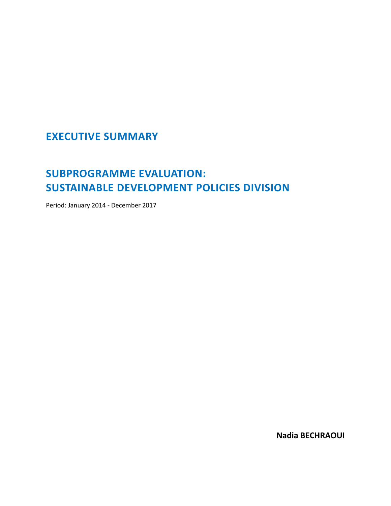## **EXECUTIVE SUMMARY**

# **SUBPROGRAMME EVALUATION: SUSTAINABLE DEVELOPMENT POLICIES DIVISION**

Period: January 2014 - December 2017

**Nadia BECHRAOUI**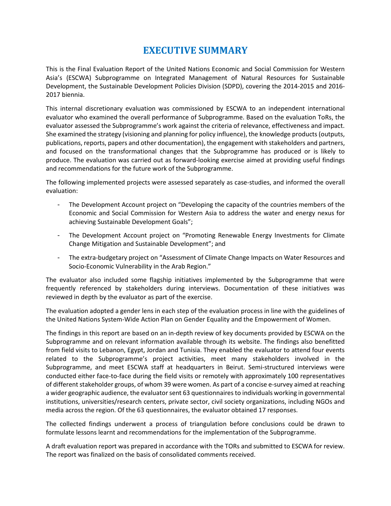## **EXECUTIVE SUMMARY**

This is the Final Evaluation Report of the United Nations Economic and Social Commission for Western Asia's (ESCWA) Subprogramme on Integrated Management of Natural Resources for Sustainable Development, the Sustainable Development Policies Division (SDPD), covering the 2014-2015 and 2016- 2017 biennia.

This internal discretionary evaluation was commissioned by ESCWA to an independent international evaluator who examined the overall performance of Subprogramme. Based on the evaluation ToRs, the evaluator assessed the Subprogramme's work against the criteria of relevance, effectiveness and impact. She examined the strategy (visioning and planning for policy influence), the knowledge products (outputs, publications, reports, papers and other documentation), the engagement with stakeholders and partners, and focused on the transformational changes that the Subprogramme has produced or is likely to produce. The evaluation was carried out as forward-looking exercise aimed at providing useful findings and recommendations for the future work of the Subprogramme.

The following implemented projects were assessed separately as case-studies, and informed the overall evaluation:

- The Development Account project on "Developing the capacity of the countries members of the Economic and Social Commission for Western Asia to address the water and energy nexus for achieving Sustainable Development Goals";
- The Development Account project on "Promoting Renewable Energy Investments for Climate Change Mitigation and Sustainable Development"; and
- The extra-budgetary project on "Assessment of Climate Change Impacts on Water Resources and Socio-Economic Vulnerability in the Arab Region."

The evaluator also included some flagship initiatives implemented by the Subprogramme that were frequently referenced by stakeholders during interviews. Documentation of these initiatives was reviewed in depth by the evaluator as part of the exercise.

The evaluation adopted a gender lens in each step of the evaluation process in line with the guidelines of the United Nations System-Wide Action Plan on Gender Equality and the Empowerment of Women.

The findings in this report are based on an in-depth review of key documents provided by ESCWA on the Subprogramme and on relevant information available through its website. The findings also benefitted from field visits to Lebanon, Egypt, Jordan and Tunisia. They enabled the evaluator to attend four events related to the Subprogramme's project activities, meet many stakeholders involved in the Subprogramme, and meet ESCWA staff at headquarters in Beirut. Semi-structured interviews were conducted either face-to-face during the field visits or remotely with approximately 100 representatives of different stakeholder groups, of whom 39 were women. As part of a concise e-survey aimed at reaching a wider geographic audience, the evaluator sent 63 questionnaires to individuals working in governmental institutions, universities/research centers, private sector, civil society organizations, including NGOs and media across the region. Of the 63 questionnaires, the evaluator obtained 17 responses.

The collected findings underwent a process of triangulation before conclusions could be drawn to formulate lessons learnt and recommendations for the implementation of the Subprogramme.

A draft evaluation report was prepared in accordance with the TORs and submitted to ESCWA for review. The report was finalized on the basis of consolidated comments received.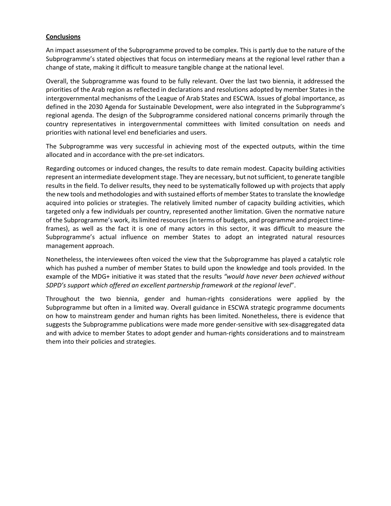#### **Conclusions**

An impact assessment of the Subprogramme proved to be complex. This is partly due to the nature of the Subprogramme's stated objectives that focus on intermediary means at the regional level rather than a change of state, making it difficult to measure tangible change at the national level.

Overall, the Subprogramme was found to be fully relevant. Over the last two biennia, it addressed the priorities of the Arab region as reflected in declarations and resolutions adopted by member States in the intergovernmental mechanisms of the League of Arab States and ESCWA. Issues of global importance, as defined in the 2030 Agenda for Sustainable Development, were also integrated in the Subprogramme's regional agenda. The design of the Subprogramme considered national concerns primarily through the country representatives in intergovernmental committees with limited consultation on needs and priorities with national level end beneficiaries and users.

The Subprogramme was very successful in achieving most of the expected outputs, within the time allocated and in accordance with the pre-set indicators.

Regarding outcomes or induced changes, the results to date remain modest. Capacity building activities represent an intermediate development stage. They are necessary, but not sufficient, to generate tangible results in the field. To deliver results, they need to be systematically followed up with projects that apply the new tools and methodologies and with sustained efforts of member States to translate the knowledge acquired into policies or strategies. The relatively limited number of capacity building activities, which targeted only a few individuals per country, represented another limitation. Given the normative nature of the Subprogramme's work, its limited resources (in terms of budgets, and programme and project timeframes), as well as the fact it is one of many actors in this sector, it was difficult to measure the Subprogramme's actual influence on member States to adopt an integrated natural resources management approach.

Nonetheless, the interviewees often voiced the view that the Subprogramme has played a catalytic role which has pushed a number of member States to build upon the knowledge and tools provided. In the example of the MDG+ initiative it was stated that the results *"would have never been achieved without SDPD's support which offered an excellent partnership framework at the regional level*".

Throughout the two biennia, gender and human-rights considerations were applied by the Subprogramme but often in a limited way. Overall guidance in ESCWA strategic programme documents on how to mainstream gender and human rights has been limited. Nonetheless, there is evidence that suggests the Subprogramme publications were made more gender-sensitive with sex-disaggregated data and with advice to member States to adopt gender and human-rights considerations and to mainstream them into their policies and strategies.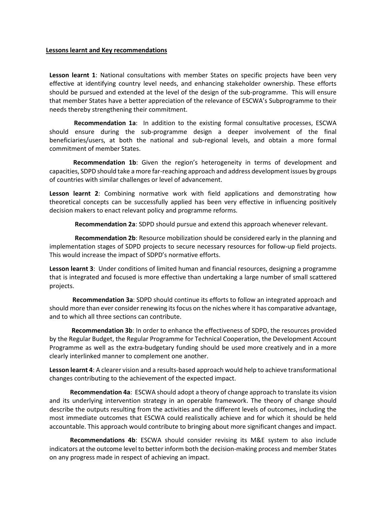#### **Lessons learnt and Key recommendations**

**Lesson learnt 1**: National consultations with member States on specific projects have been very effective at identifying country level needs, and enhancing stakeholder ownership. These efforts should be pursued and extended at the level of the design of the sub-programme. This will ensure that member States have a better appreciation of the relevance of ESCWA's Subprogramme to their needs thereby strengthening their commitment.

**Recommendation 1a**: In addition to the existing formal consultative processes, ESCWA should ensure during the sub-programme design a deeper involvement of the final beneficiaries/users, at both the national and sub-regional levels, and obtain a more formal commitment of member States.

 **Recommendation 1b**: Given the region's heterogeneity in terms of development and capacities, SDPD should take a more far-reaching approach and address development issues by groups of countries with similar challenges or level of advancement.

**Lesson learnt 2**: Combining normative work with field applications and demonstrating how theoretical concepts can be successfully applied has been very effective in influencing positively decision makers to enact relevant policy and programme reforms.

**Recommendation 2a**: SDPD should pursue and extend this approach whenever relevant.

 **Recommendation 2b**: Resource mobilization should be considered early in the planning and implementation stages of SDPD projects to secure necessary resources for follow-up field projects. This would increase the impact of SDPD's normative efforts.

**Lesson learnt 3**: Under conditions of limited human and financial resources, designing a programme that is integrated and focused is more effective than undertaking a large number of small scattered projects.

**Recommendation 3a**: SDPD should continue its efforts to follow an integrated approach and should more than ever consider renewing its focus on the niches where it has comparative advantage, and to which all three sections can contribute.

 **Recommendation 3b**: In order to enhance the effectiveness of SDPD, the resources provided by the Regular Budget, the Regular Programme for Technical Cooperation, the Development Account Programme as well as the extra-budgetary funding should be used more creatively and in a more clearly interlinked manner to complement one another.

**Lesson learnt 4**: A clearer vision and a results-based approach would help to achieve transformational changes contributing to the achievement of the expected impact.

 **Recommendation 4a**: ESCWA should adopt a theory of change approach to translate its vision and its underlying intervention strategy in an operable framework. The theory of change should describe the outputs resulting from the activities and the different levels of outcomes, including the most immediate outcomes that ESCWA could realistically achieve and for which it should be held accountable. This approach would contribute to bringing about more significant changes and impact.

 **Recommendations 4b**: ESCWA should consider revising its M&E system to also include indicators at the outcome level to better inform both the decision-making process and member States on any progress made in respect of achieving an impact.